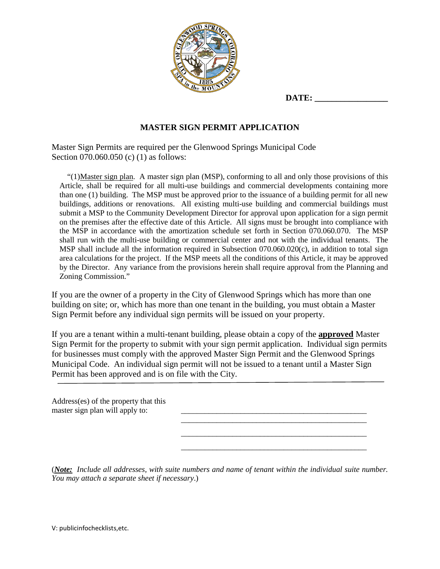

# **MASTER SIGN PERMIT APPLICATION**

Master Sign Permits are required per the Glenwood Springs Municipal Code Section 070.060.050 (c) (1) as follows:

"(1)Master sign plan. A master sign plan (MSP), conforming to all and only those provisions of this Article, shall be required for all multi-use buildings and commercial developments containing more than one (1) building. The MSP must be approved prior to the issuance of a building permit for all new buildings, additions or renovations. All existing multi-use building and commercial buildings must submit a MSP to the Community Development Director for approval upon application for a sign permit on the premises after the effective date of this Article. All signs must be brought into compliance with the MSP in accordance with the amortization schedule set forth in Section 070.060.070. The MSP shall run with the multi-use building or commercial center and not with the individual tenants. The MSP shall include all the information required in Subsection 070.060.020(c), in addition to total sign area calculations for the project. If the MSP meets all the conditions of this Article, it may be approved by the Director. Any variance from the provisions herein shall require approval from the Planning and Zoning Commission."

If you are the owner of a property in the City of Glenwood Springs which has more than one building on site; or, which has more than one tenant in the building, you must obtain a Master Sign Permit before any individual sign permits will be issued on your property.

If you are a tenant within a multi-tenant building, please obtain a copy of the **approved** Master Sign Permit for the property to submit with your sign permit application. Individual sign permits for businesses must comply with the approved Master Sign Permit and the Glenwood Springs Municipal Code. An individual sign permit will not be issued to a tenant until a Master Sign Permit has been approved and is on file with the City.

Address(es) of the property that this master sign plan will apply to: \_\_\_\_\_\_\_\_\_\_\_\_\_\_\_\_\_\_\_\_\_\_\_\_\_\_\_\_\_\_\_\_\_\_\_\_\_\_\_\_\_\_\_\_\_\_\_ \_\_\_\_\_\_\_\_\_\_\_\_\_\_\_\_\_\_\_\_\_\_\_\_\_\_\_\_\_\_\_\_\_\_\_\_\_\_\_\_\_\_\_\_\_\_\_

(*Note: Include all addresses, with suite numbers and name of tenant within the individual suite number. You may attach a separate sheet if necessary*.)

\_\_\_\_\_\_\_\_\_\_\_\_\_\_\_\_\_\_\_\_\_\_\_\_\_\_\_\_\_\_\_\_\_\_\_\_\_\_\_\_\_\_\_\_\_\_\_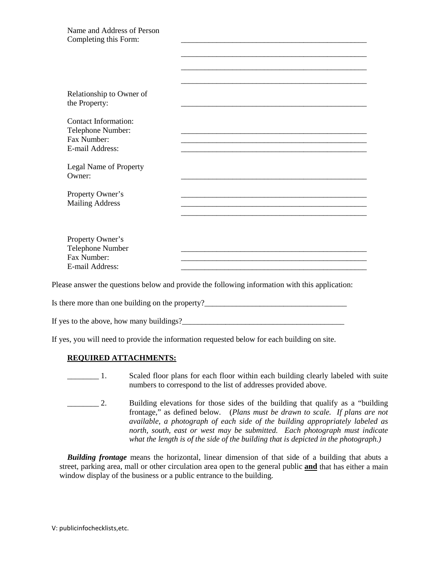If yes to the above, how many buildings?

If yes, you will need to provide the information requested below for each building on site.

## **REQUIRED ATTACHMENTS:**

- **EXECUTE:** 1. Scaled floor plans for each floor within each building clearly labeled with suite numbers to correspond to the list of addresses provided above.
- \_\_\_\_\_\_\_\_ 2. Building elevations for those sides of the building that qualify as a "building frontage," as defined below. (*Plans must be drawn to scale. If plans are not available, a photograph of each side of the building appropriately labeled as north, south, east or west may be submitted. Each photograph must indicate what the length is of the side of the building that is depicted in the photograph.)*

*Building frontage* means the horizontal, linear dimension of that side of a building that abuts a street, parking area, mall or other circulation area open to the general public **and** that has either a main window display of the business or a public entrance to the building.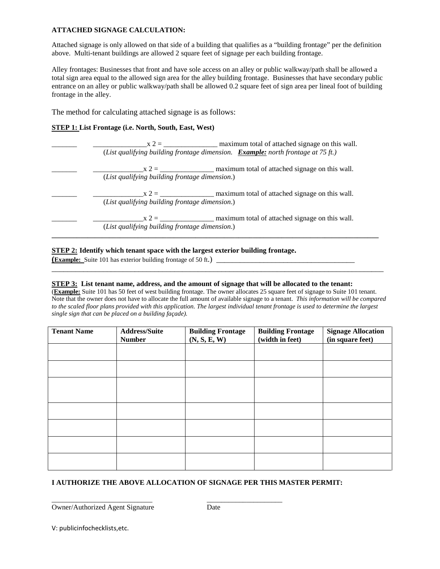## **ATTACHED SIGNAGE CALCULATION:**

Attached signage is only allowed on that side of a building that qualifies as a "building frontage" per the definition above. Multi-tenant buildings are allowed 2 square feet of signage per each building frontage.

Alley frontages: Businesses that front and have sole access on an alley or public walkway/path shall be allowed a total sign area equal to the allowed sign area for the alley building frontage. Businesses that have secondary public entrance on an alley or public walkway/path shall be allowed 0.2 square feet of sign area per lineal foot of building frontage in the alley.

The method for calculating attached signage is as follows:

#### **STEP 1: List Frontage (i.e. North, South, East, West)**

| maximum total of attached signage on this wall.<br>$x 2 =$<br>(List qualifying building frontage dimension. <b>Example:</b> north frontage at 75 ft.) |
|-------------------------------------------------------------------------------------------------------------------------------------------------------|
| ( <i>List qualifying building frontage dimension</i> .)                                                                                               |
| ( <i>List qualifying building frontage dimension</i> .)                                                                                               |
| (List qualifying building frontage dimension.)                                                                                                        |

## **STEP 2: Identify which tenant space with the largest exterior building frontage.**

**(Example:** Suite 101 has exterior building frontage of 50 ft.)

#### **STEP 3: List tenant name, address, and the amount of signage that will be allocated to the tenant:**

(**Example:** Suite 101 has 50 feet of west building frontage. The owner allocates 25 square feet of signage to Suite 101 tenant. Note that the owner does not have to allocate the full amount of available signage to a tenant. *This information will be compared to the scaled floor plans provided with this application. The largest individual tenant frontage is used to determine the largest single sign that can be placed on a building façade).*

\_\_\_\_\_\_\_\_\_\_\_\_\_\_\_\_\_\_\_\_\_\_\_\_\_\_\_\_\_\_\_\_\_\_\_\_\_\_\_\_\_\_\_\_\_\_\_\_\_\_\_\_\_\_\_\_\_\_\_\_\_\_\_\_\_\_\_\_\_\_\_\_\_\_\_\_\_\_\_\_\_\_\_\_

| <b>Tenant Name</b> | <b>Address/Suite</b><br><b>Number</b> | <b>Building Frontage</b><br>(N, S, E, W) | <b>Building Frontage</b><br>(width in feet) | <b>Signage Allocation</b><br>(in square feet) |
|--------------------|---------------------------------------|------------------------------------------|---------------------------------------------|-----------------------------------------------|
|                    |                                       |                                          |                                             |                                               |
|                    |                                       |                                          |                                             |                                               |
|                    |                                       |                                          |                                             |                                               |
|                    |                                       |                                          |                                             |                                               |
|                    |                                       |                                          |                                             |                                               |
|                    |                                       |                                          |                                             |                                               |
|                    |                                       |                                          |                                             |                                               |

## **I AUTHORIZE THE ABOVE ALLOCATION OF SIGNAGE PER THIS MASTER PERMIT:**

Owner/Authorized Agent Signature Date

\_\_\_\_\_\_\_\_\_\_\_\_\_\_\_\_\_\_\_\_\_\_\_\_\_\_\_\_ \_\_\_\_\_\_\_\_\_\_\_\_\_\_\_\_\_\_\_\_\_

V: publicinfochecklists,etc.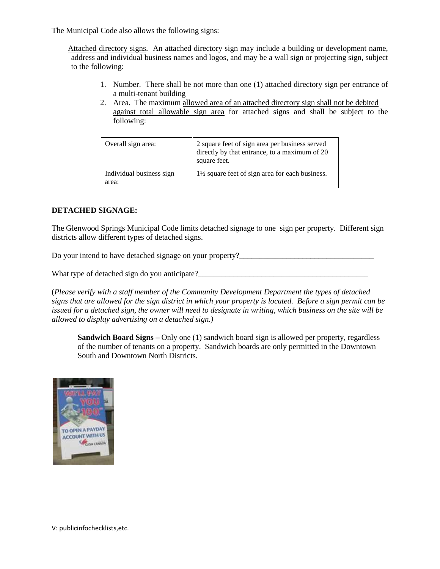The Municipal Code also allows the following signs:

Attached directory signs. An attached directory sign may include a building or development name, address and individual business names and logos, and may be a wall sign or projecting sign, subject to the following:

- 1. Number. There shall be not more than one (1) attached directory sign per entrance of a multi-tenant building
- 2. Area. The maximum allowed area of an attached directory sign shall not be debited against total allowable sign area for attached signs and shall be subject to the following:

| Overall sign area:                | 2 square feet of sign area per business served<br>directly by that entrance, to a maximum of 20<br>square feet. |
|-----------------------------------|-----------------------------------------------------------------------------------------------------------------|
| Individual business sign<br>area: | $1\frac{1}{2}$ square feet of sign area for each business.                                                      |

## **DETACHED SIGNAGE:**

The Glenwood Springs Municipal Code limits detached signage to one sign per property. Different sign districts allow different types of detached signs.

Do your intend to have detached signage on your property?

What type of detached sign do you anticipate?

(*Please verify with a staff member of the Community Development Department the types of detached signs that are allowed for the sign district in which your property is located. Before a sign permit can be issued for a detached sign, the owner will need to designate in writing, which business on the site will be allowed to display advertising on a detached sign.)*

**Sandwich Board Signs –** Only one (1) sandwich board sign is allowed per property, regardless of the number of tenants on a property. Sandwich boards are only permitted in the Downtown South and Downtown North Districts.